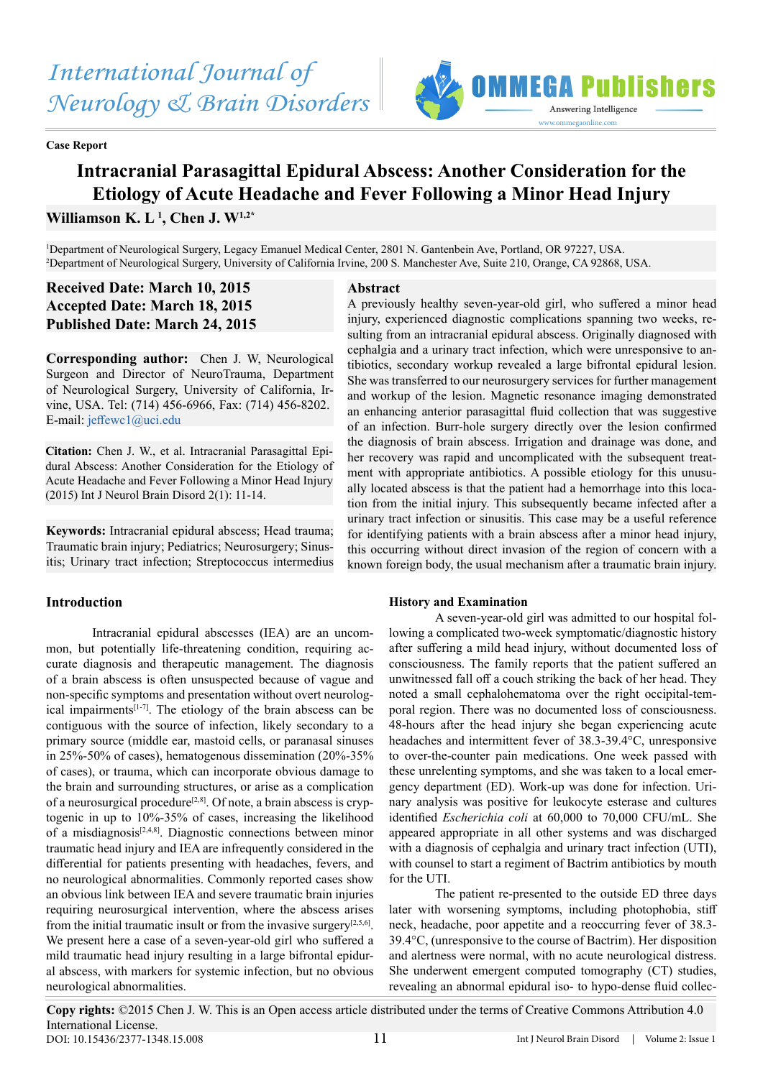# *International Journal of Neurology & Brain Disorders*

**Case Report**



# **Intracranial Parasagittal Epidural Abscess: Another Consideration for the Etiology of Acute Headache and Fever Following a Minor Head Injury**

**Williamson K. L 1 , Chen J. W1,2\***

1 Department of Neurological Surgery, Legacy Emanuel Medical Center, 2801 N. Gantenbein Ave, Portland, OR 97227, USA. 2 Department of Neurological Surgery, University of California Irvine, 200 S. Manchester Ave, Suite 210, Orange, CA 92868, USA.

# **Received Date: March 10, 2015 Accepted Date: March 18, 2015 Published Date: March 24, 2015**

**Corresponding author:** Chen J. W, Neurological Surgeon and Director of NeuroTrauma, Department of Neurological Surgery, University of California, Irvine, USA. Tel: (714) 456-6966, Fax: (714) 456-8202. E-mail: jeffewc1@uci.edu

**Citation:** Chen J. W., et al. Intracranial Parasagittal Epidural Abscess: Another Consideration for the Etiology of Acute Headache and Fever Following a Minor Head Injury (2015) Int J Neurol Brain Disord 2(1): 11-14.

**Keywords:** Intracranial epidural abscess; Head trauma; Traumatic brain injury; Pediatrics; Neurosurgery; Sinusitis; Urinary tract infection; Streptococcus intermedius

# **Introduction**

Intracranial epidural abscesses (IEA) are an uncommon, but potentially life-threatening condition, requiring accurate diagnosis and therapeutic management. The diagnosis of a brain abscess is often unsuspected because of vague and non-specific symptoms and presentation without overt neurological impairments $[1-7]$ . The etiology of the brain abscess can be contiguous with the source of infection, likely secondary to a primary source (middle ear, mastoid cells, or paranasal sinuses in 25%-50% of cases), hematogenous dissemination (20%-35% of cases), or trauma, which can incorporate obvious damage to the brain and surrounding structures, or arise as a complication of a neurosurgical procedure<sup>[2,8]</sup>. Of note, a brain abscess is cryptogenic in up to 10%-35% of cases, increasing the likelihood of a misdiagnosis[2,4,8]. Diagnostic connections between minor traumatic head injury and IEA are infrequently considered in the differential for patients presenting with headaches, fevers, and no neurological abnormalities. Commonly reported cases show an obvious link between IEA and severe traumatic brain injuries requiring neurosurgical intervention, where the abscess arises from the initial traumatic insult or from the invasive surgery<sup>[2,5,6]</sup>. We present here a case of a seven-year-old girl who suffered a mild traumatic head injury resulting in a large bifrontal epidural abscess, with markers for systemic infection, but no obvious neurological abnormalities.

# **Abstract**

A previously healthy seven-year-old girl, who suffered a minor head injury, experienced diagnostic complications spanning two weeks, resulting from an intracranial epidural abscess. Originally diagnosed with cephalgia and a urinary tract infection, which were unresponsive to antibiotics, secondary workup revealed a large bifrontal epidural lesion. She was transferred to our neurosurgery services for further management and workup of the lesion. Magnetic resonance imaging demonstrated an enhancing anterior parasagittal fluid collection that was suggestive of an infection. Burr-hole surgery directly over the lesion confirmed the diagnosis of brain abscess. Irrigation and drainage was done, and her recovery was rapid and uncomplicated with the subsequent treatment with appropriate antibiotics. A possible etiology for this unusually located abscess is that the patient had a hemorrhage into this location from the initial injury. This subsequently became infected after a urinary tract infection or sinusitis. This case may be a useful reference for identifying patients with a brain abscess after a minor head injury, this occurring without direct invasion of the region of concern with a known foreign body, the usual mechanism after a traumatic brain injury.

# **History and Examination**

A seven-year-old girl was admitted to our hospital following a complicated two-week symptomatic/diagnostic history after suffering a mild head injury, without documented loss of consciousness. The family reports that the patient suffered an unwitnessed fall off a couch striking the back of her head. They noted a small cephalohematoma over the right occipital-temporal region. There was no documented loss of consciousness. 48-hours after the head injury she began experiencing acute headaches and intermittent fever of 38.3-39.4°C, unresponsive to over-the-counter pain medications. One week passed with these unrelenting symptoms, and she was taken to a local emergency department (ED). Work-up was done for infection. Urinary analysis was positive for leukocyte esterase and cultures identified *Escherichia coli* at 60,000 to 70,000 CFU/mL. She appeared appropriate in all other systems and was discharged with a diagnosis of cephalgia and urinary tract infection (UTI), with counsel to start a regiment of Bactrim antibiotics by mouth for the UTI.

The patient re-presented to the outside ED three days later with worsening symptoms, including photophobia, stiff neck, headache, poor appetite and a reoccurring fever of 38.3- 39.4°C, (unresponsive to the course of Bactrim). Her disposition and alertness were normal, with no acute neurological distress. She underwent emergent computed tomography (CT) studies, revealing an abnormal epidural iso- to hypo-dense fluid collec-

**Copy rights:** ©2015 Chen J. W. This is an Open access article distributed under the terms of Creative Commons Attribution 4.0 International License. DOI: 10.15436/2377-1348.15.008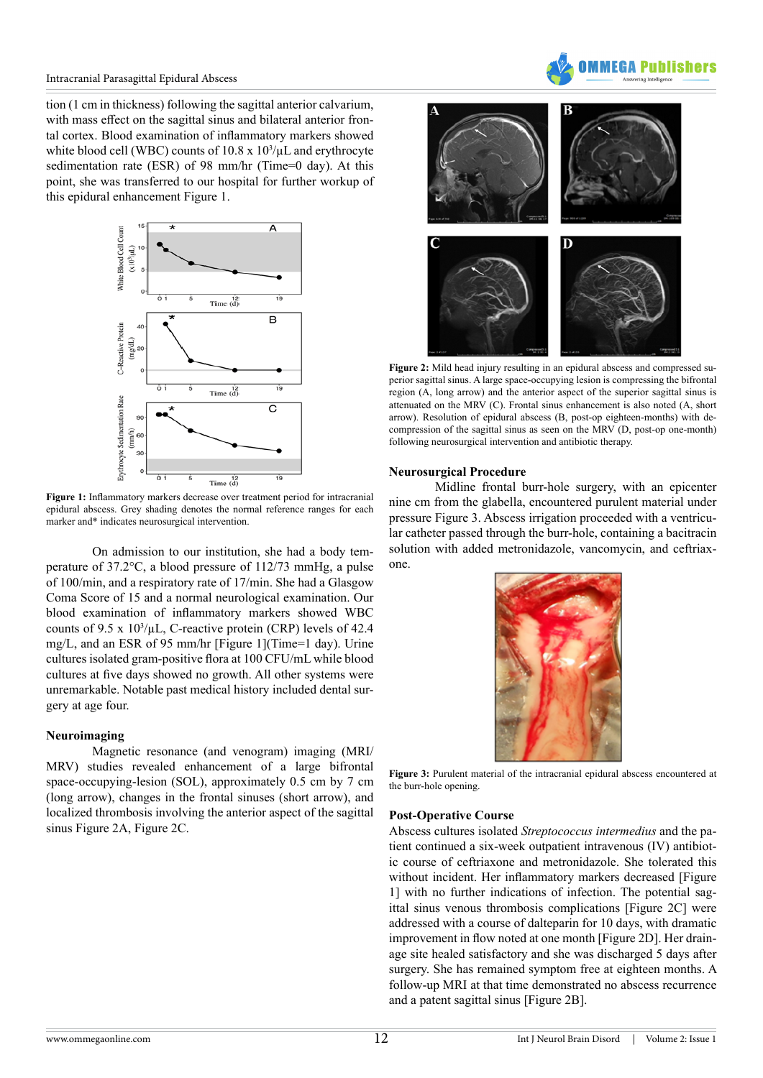

tion (1 cm in thickness) following the sagittal anterior calvarium, with mass effect on the sagittal sinus and bilateral anterior frontal cortex. Blood examination of inflammatory markers showed white blood cell (WBC) counts of  $10.8 \times 10^3/\mu$ L and erythrocyte sedimentation rate (ESR) of 98 mm/hr (Time=0 day). At this point, she was transferred to our hospital for further workup of this epidural enhancement Figure 1.



**Figure 1:** Inflammatory markers decrease over treatment period for intracranial epidural abscess. Grey shading denotes the normal reference ranges for each marker and\* indicates neurosurgical intervention.

On admission to our institution, she had a body temperature of 37.2°C, a blood pressure of 112/73 mmHg, a pulse of 100/min, and a respiratory rate of 17/min. She had a Glasgow Coma Score of 15 and a normal neurological examination. Our blood examination of inflammatory markers showed WBC counts of  $9.5 \times 10^3/\mu L$ , C-reactive protein (CRP) levels of 42.4 mg/L, and an ESR of 95 mm/hr [Figure 1](Time=1 day). Urine cultures isolated gram-positive flora at 100 CFU/mL while blood cultures at five days showed no growth. All other systems were unremarkable. Notable past medical history included dental surgery at age four.

#### **Neuroimaging**

Magnetic resonance (and venogram) imaging (MRI/ MRV) studies revealed enhancement of a large bifrontal space-occupying-lesion (SOL), approximately 0.5 cm by 7 cm (long arrow), changes in the frontal sinuses (short arrow), and localized thrombosis involving the anterior aspect of the sagittal sinus Figure 2A, Figure 2C.





**Figure 2:** Mild head injury resulting in an epidural abscess and compressed superior sagittal sinus. A large space-occupying lesion is compressing the bifrontal region (A, long arrow) and the anterior aspect of the superior sagittal sinus is attenuated on the MRV (C). Frontal sinus enhancement is also noted (A, short arrow). Resolution of epidural abscess (B, post-op eighteen-months) with decompression of the sagittal sinus as seen on the MRV (D, post-op one-month) following neurosurgical intervention and antibiotic therapy.

#### **Neurosurgical Procedure**

Midline frontal burr-hole surgery, with an epicenter nine cm from the glabella, encountered purulent material under pressure Figure 3. Abscess irrigation proceeded with a ventricular catheter passed through the burr-hole, containing a bacitracin solution with added metronidazole, vancomycin, and ceftriaxone.



**Figure 3:** Purulent material of the intracranial epidural abscess encountered at the burr-hole opening.

#### **Post-Operative Course**

Abscess cultures isolated *Streptococcus intermedius* and the patient continued a six-week outpatient intravenous (IV) antibiotic course of ceftriaxone and metronidazole. She tolerated this without incident. Her inflammatory markers decreased [Figure 1] with no further indications of infection. The potential sagittal sinus venous thrombosis complications [Figure 2C] were addressed with a course of dalteparin for 10 days, with dramatic improvement in flow noted at one month [Figure 2D]. Her drainage site healed satisfactory and she was discharged 5 days after surgery. She has remained symptom free at eighteen months. A follow-up MRI at that time demonstrated no abscess recurrence and a patent sagittal sinus [Figure 2B].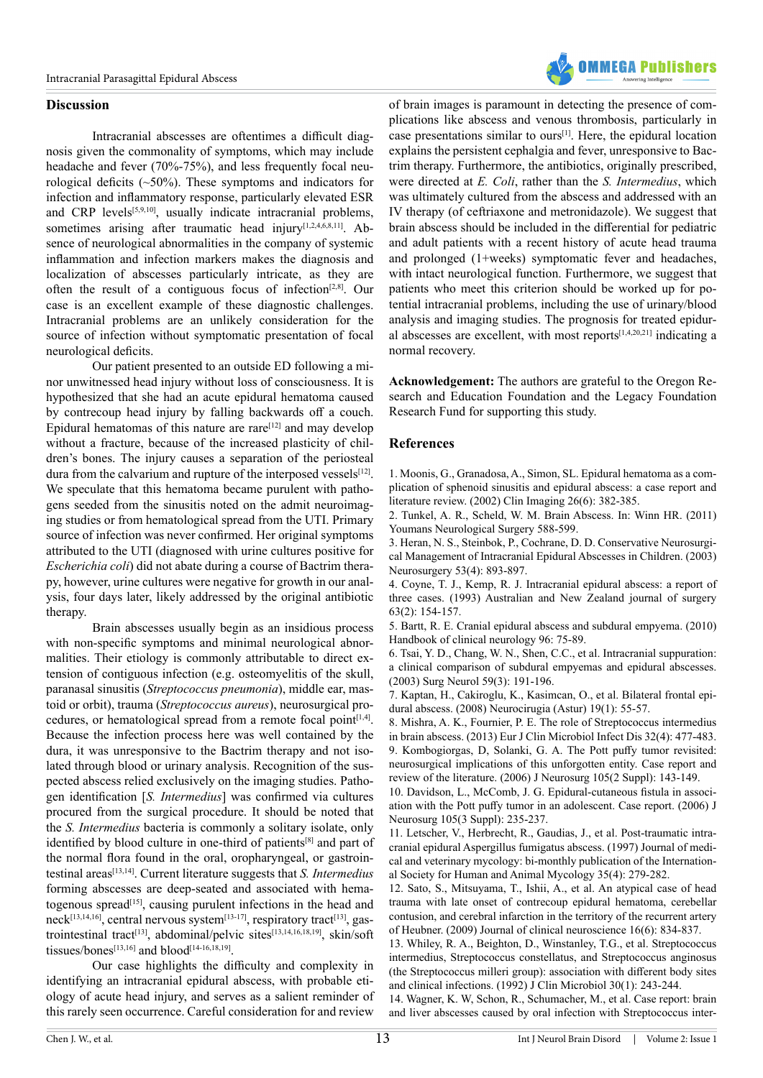

#### **Discussion**

Intracranial abscesses are oftentimes a difficult diagnosis given the commonality of symptoms, which may include headache and fever (70%-75%), and less frequently focal neurological deficits (~50%). These symptoms and indicators for infection and inflammatory response, particularly elevated ESR and CRP levels<sup>[5,9,10]</sup>, usually indicate intracranial problems, sometimes arising after traumatic head injury[1,2,4,6,8,11]. Absence of neurological abnormalities in the company of systemic inflammation and infection markers makes the diagnosis and localization of abscesses particularly intricate, as they are often the result of a contiguous focus of infection[2,8]. Our case is an excellent example of these diagnostic challenges. Intracranial problems are an unlikely consideration for the source of infection without symptomatic presentation of focal neurological deficits.

Our patient presented to an outside ED following a minor unwitnessed head injury without loss of consciousness. It is hypothesized that she had an acute epidural hematoma caused by contrecoup head injury by falling backwards off a couch. Epidural hematomas of this nature are rare $[12]$  and may develop without a fracture, because of the increased plasticity of children's bones. The injury causes a separation of the periosteal dura from the calvarium and rupture of the interposed vessels $[12]$ . We speculate that this hematoma became purulent with pathogens seeded from the sinusitis noted on the admit neuroimaging studies or from hematological spread from the UTI. Primary source of infection was never confirmed. Her original symptoms attributed to the UTI (diagnosed with urine cultures positive for *Escherichia coli*) did not abate during a course of Bactrim therapy, however, urine cultures were negative for growth in our analysis, four days later, likely addressed by the original antibiotic therapy.

Brain abscesses usually begin as an insidious process with non-specific symptoms and minimal neurological abnormalities. Their etiology is commonly attributable to direct extension of contiguous infection (e.g. osteomyelitis of the skull, paranasal sinusitis (*Streptococcus pneumonia*), middle ear, mastoid or orbit), trauma (*Streptococcus aureus*), neurosurgical procedures, or hematological spread from a remote focal point[1,4]. Because the infection process here was well contained by the dura, it was unresponsive to the Bactrim therapy and not isolated through blood or urinary analysis. Recognition of the suspected abscess relied exclusively on the imaging studies. Pathogen identification [*S. Intermedius*] was confirmed via cultures procured from the surgical procedure. It should be noted that the *S. Intermedius* bacteria is commonly a solitary isolate, only identified by blood culture in one-third of patients<sup>[8]</sup> and part of the normal flora found in the oral, oropharyngeal, or gastrointestinal areas[13,14]. Current literature suggests that *S. Intermedius* forming abscesses are deep-seated and associated with hematogenous spread[15], causing purulent infections in the head and neck<sup>[13,14,16]</sup>, central nervous system<sup>[13-17]</sup>, respiratory tract<sup>[13]</sup>, gastrointestinal tract<sup>[13]</sup>, abdominal/pelvic sites<sup>[13,14,16,18,19]</sup>, skin/soft tissues/bones<sup>[13,16]</sup> and blood<sup>[14-16,18,19]</sup>.

Our case highlights the difficulty and complexity in identifying an intracranial epidural abscess, with probable etiology of acute head injury, and serves as a salient reminder of this rarely seen occurrence. Careful consideration for and review

of brain images is paramount in detecting the presence of complications like abscess and venous thrombosis, particularly in case presentations similar to ours[1]. Here, the epidural location explains the persistent cephalgia and fever, unresponsive to Bactrim therapy. Furthermore, the antibiotics, originally prescribed, were directed at *E. Coli*, rather than the *S. Intermedius*, which was ultimately cultured from the abscess and addressed with an IV therapy (of ceftriaxone and metronidazole). We suggest that brain abscess should be included in the differential for pediatric and adult patients with a recent history of acute head trauma and prolonged (1+weeks) symptomatic fever and headaches, with intact neurological function. Furthermore, we suggest that patients who meet this criterion should be worked up for potential intracranial problems, including the use of urinary/blood analysis and imaging studies. The prognosis for treated epidural abscesses are excellent, with most reports $[1,4,20,21]$  indicating a normal recovery.

**Acknowledgement:** The authors are grateful to the Oregon Research and Education Foundation and the Legacy Foundation Research Fund for supporting this study.

#### **References**

[1. Moonis, G., Granadosa, A., Simon, SL. Epidural hematoma as a com](http://www.ncbi.nlm.nih.gov/pubmed/12427432)[plication of sphenoid sinusitis and epidural abscess: a case report and](http://www.ncbi.nlm.nih.gov/pubmed/12427432) [literature review. \(2002\) Clin Imaging 26\(6\): 382-385.](http://www.ncbi.nlm.nih.gov/pubmed/12427432)

2. Tunkel, A. R., Scheld, W. M. Brain Abscess. In: Winn HR. (2011) Youmans Neurological Surgery 588-599.

[3. Heran, N. S., Steinbok, P., Cochrane, D. D. Conservative Neurosurgi](http://www.ncbi.nlm.nih.gov/pubmed/14519222)[cal Management of Intracranial Epidural Abscesses in Children. \(2003\)](http://www.ncbi.nlm.nih.gov/pubmed/14519222) [Neurosurgery 53\(4\): 893-897.](http://www.ncbi.nlm.nih.gov/pubmed/14519222)

[4. Coyne, T. J., Kemp, R. J. Intracranial epidural abscess: a report of](http://onlinelibrary.wiley.com/doi/10.1111/j.1445-2197.1993.tb00068.x/abstract) [three cases. \(1993\) Australian and New Zealand journal of surgery](http://onlinelibrary.wiley.com/doi/10.1111/j.1445-2197.1993.tb00068.x/abstract) [63\(2\): 154-157.](http://onlinelibrary.wiley.com/doi/10.1111/j.1445-2197.1993.tb00068.x/abstract)

[5. Bartt, R. E. Cranial epidural abscess and subdural empyema. \(2010\)](http://www.sciencedirect.com/science/article/pii/S0072975209960067) [Handbook of clinical neurology 96: 75-89.](http://www.sciencedirect.com/science/article/pii/S0072975209960067)

[6. Tsai, Y. D., Chang, W. N., Shen, C.C., et al. Intracranial suppuration:](http://www.ncbi.nlm.nih.gov/pubmed/12681551) [a clinical comparison of subdural empyemas and epidural abscesses.](http://www.ncbi.nlm.nih.gov/pubmed/12681551) [\(2003\) Surg Neurol 59\(3\): 191-196.](http://www.ncbi.nlm.nih.gov/pubmed/12681551)

[7. Kaptan, H., Cakiroglu, K., Kasimcan, O., et al. Bilateral frontal epi](http://www.ncbi.nlm.nih.gov/pubmed/18335156)[dural abscess. \(2008\) Neurocirugia \(Astur\) 19\(1\): 55-57.](http://www.ncbi.nlm.nih.gov/pubmed/18335156)

[8. Mishra, A. K., Fournier, P. E. The role of Streptococcus intermedius](http://www.ncbi.nlm.nih.gov/pubmed/23187823) [in brain abscess. \(2013\) Eur J Clin Microbiol Infect Dis 32\(4\): 477-483.](http://www.ncbi.nlm.nih.gov/pubmed/23187823) [9. Kombogiorgas, D, Solanki, G. A. The Pott puffy tumor revisited:](http://www.ncbi.nlm.nih.gov/pubmed/16922077) [neurosurgical implications of this unforgotten entity. Case report and](http://www.ncbi.nlm.nih.gov/pubmed/16922077) [review of the literature. \(2006\) J Neurosurg 105\(2 Suppl\): 143-149.](http://www.ncbi.nlm.nih.gov/pubmed/16922077)

[10. Davidson, L., McComb, J. G. Epidural-cutaneous fistula in associ](http://www.ncbi.nlm.nih.gov/pubmed/16970240)[ation with the Pott puffy tumor in an adolescent. Case report. \(2006\) J](http://www.ncbi.nlm.nih.gov/pubmed/16970240) [Neurosurg 105\(3 Suppl\): 235-237.](http://www.ncbi.nlm.nih.gov/pubmed/16970240)

[11. Letscher, V., Herbrecht, R., Gaudias, J., et al. Post-traumatic intra](http://europepmc.org/abstract/med/9292425)[cranial epidural Aspergillus fumigatus abscess. \(1997\) Journal of medi](http://europepmc.org/abstract/med/9292425)[cal and veterinary mycology: bi-monthly publication of the Internation](http://europepmc.org/abstract/med/9292425)[al Society for Human and Animal Mycology 35\(4\): 279-282.](http://europepmc.org/abstract/med/9292425)

[12. Sato, S., Mitsuyama, T., Ishii, A., et al. An atypical case of head](http://www.jocn-journal.com/article/S0967-5868(08)00496-7/abstract) [trauma with late onset of contrecoup epidural hematoma, cerebellar](http://www.jocn-journal.com/article/S0967-5868(08)00496-7/abstract) [contusion, and cerebral infarction in the territory of the recurrent artery](http://www.jocn-journal.com/article/S0967-5868(08)00496-7/abstract) [of Heubner. \(2009\) Journal of clinical neuroscience 16\(6\): 834-837.](http://www.jocn-journal.com/article/S0967-5868(08)00496-7/abstract)

[13. Whiley, R. A., Beighton, D., Winstanley, T.G., et al. Streptococcus](http://www.ncbi.nlm.nih.gov/pmc/articles/PMC265033/) [intermedius, Streptococcus constellatus, and Streptococcus anginosus](http://www.ncbi.nlm.nih.gov/pmc/articles/PMC265033/) [\(the Streptococcus milleri group\): association with different body sites](http://www.ncbi.nlm.nih.gov/pmc/articles/PMC265033/) [and clinical infections. \(1992\) J Clin Microbiol 30\(1\): 243-244.](http://www.ncbi.nlm.nih.gov/pmc/articles/PMC265033/)

[14. Wagner, K. W, Schon, R., Schumacher, M., et al. Case report: brain](http://www.ncbi.nlm.nih.gov/pubmed/16997089) [and liver abscesses caused by oral infection with Streptococcus inter](http://www.ncbi.nlm.nih.gov/pubmed/16997089)-